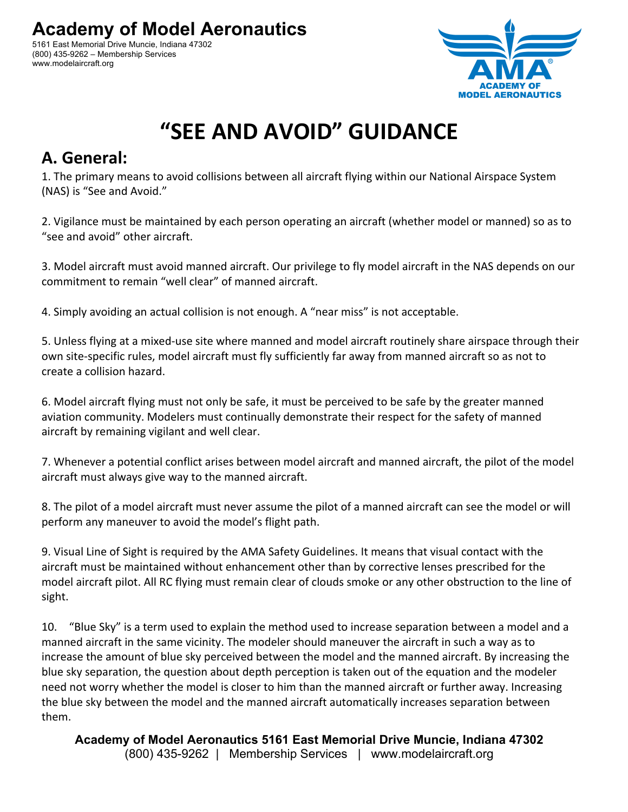5161 East Memorial Drive Muncie, Indiana 47302 (800) 435-9262 – Membership Services www.modelaircraft.org



## **"SEE AND AVOID" GUIDANCE**

## **A. General:**

1. The primary means to avoid collisions between all aircraft flying within our National Airspace System (NAS) is "See and Avoid."

2. Vigilance must be maintained by each person operating an aircraft (whether model or manned) so as to "see and avoid" other aircraft.

3. Model aircraft must avoid manned aircraft. Our privilege to fly model aircraft in the NAS depends on our commitment to remain "well clear" of manned aircraft.

4. Simply avoiding an actual collision is not enough. A "near miss" is not acceptable.

5. Unless flying at a mixed-use site where manned and model aircraft routinely share airspace through their own site-specific rules, model aircraft must fly sufficiently far away from manned aircraft so as not to create a collision hazard.

6. Model aircraft flying must not only be safe, it must be perceived to be safe by the greater manned aviation community. Modelers must continually demonstrate their respect for the safety of manned aircraft by remaining vigilant and well clear.

7. Whenever a potential conflict arises between model aircraft and manned aircraft, the pilot of the model aircraft must always give way to the manned aircraft.

8. The pilot of a model aircraft must never assume the pilot of a manned aircraft can see the model or will perform any maneuver to avoid the model's flight path.

9. Visual Line of Sight is required by the AMA Safety Guidelines. It means that visual contact with the aircraft must be maintained without enhancement other than by corrective lenses prescribed for the model aircraft pilot. All RC flying must remain clear of clouds smoke or any other obstruction to the line of sight.

10. "Blue Sky" is a term used to explain the method used to increase separation between a model and a manned aircraft in the same vicinity. The modeler should maneuver the aircraft in such a way as to increase the amount of blue sky perceived between the model and the manned aircraft. By increasing the blue sky separation, the question about depth perception is taken out of the equation and the modeler need not worry whether the model is closer to him than the manned aircraft or further away. Increasing the blue sky between the model and the manned aircraft automatically increases separation between them. 

**Academy of Model Aeronautics 5161 East Memorial Drive Muncie, Indiana 47302**  (800) 435-9262 | Membership Services | www.modelaircraft.org